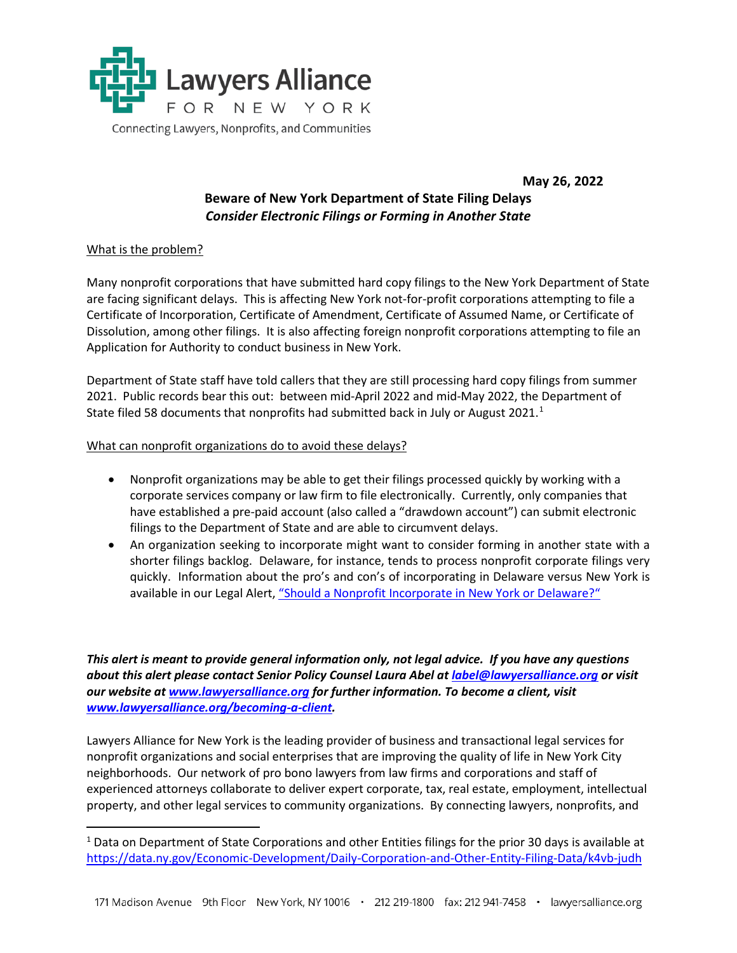

## **May 26, 2022**

## **Beware of New York Department of State Filing Delays** *Consider Electronic Filings or Forming in Another State*

## What is the problem?

 $\overline{a}$ 

Many nonprofit corporations that have submitted hard copy filings to the New York Department of State are facing significant delays. This is affecting New York not-for-profit corporations attempting to file a Certificate of Incorporation, Certificate of Amendment, Certificate of Assumed Name, or Certificate of Dissolution, among other filings. It is also affecting foreign nonprofit corporations attempting to file an Application for Authority to conduct business in New York.

Department of State staff have told callers that they are still processing hard copy filings from summer 2021. Public records bear this out: between mid-April 2022 and mid-May 2022, the Department of State filed 58 documents that nonprofits had submitted back in July or August 202[1](#page-0-0).<sup>1</sup>

What can nonprofit organizations do to avoid these delays?

- Nonprofit organizations may be able to get their filings processed quickly by working with a corporate services company or law firm to file electronically. Currently, only companies that have established a pre-paid account (also called a "drawdown account") can submit electronic filings to the Department of State and are able to circumvent delays.
- An organization seeking to incorporate might want to consider forming in another state with a shorter filings backlog. Delaware, for instance, tends to process nonprofit corporate filings very quickly. Information about the pro's and con's of incorporating in Delaware versus New York is available in our Legal Alert[, "Should a Nonprofit Incorporate in New York or Delaware?"](https://lawyersalliance.org/userFiles/uploads/legal_alerts/Incorporation_in_New_York_v_Delaware_Legal_Alert_April_2020.pdf)

*This alert is meant to provide general information only, not legal advice. If you have any questions about this alert please contact Senior Policy Counsel Laura Abel at [label@lawyersalliance.org](mailto:label@lawyersalliance.org) or visit our website at [www.lawyersalliance.org](http://www.lawyersalliance.org/) for further information. To become a client, visit [www.lawyersalliance.org/becoming-a-client.](http://www.lawyersalliance.org/becoming-a-client)* 

Lawyers Alliance for New York is the leading provider of business and transactional legal services for nonprofit organizations and social enterprises that are improving the quality of life in New York City neighborhoods. Our network of pro bono lawyers from law firms and corporations and staff of experienced attorneys collaborate to deliver expert corporate, tax, real estate, employment, intellectual property, and other legal services to community organizations. By connecting lawyers, nonprofits, and

<span id="page-0-0"></span><sup>&</sup>lt;sup>1</sup> Data on Department of State Corporations and other Entities filings for the prior 30 days is available at <https://data.ny.gov/Economic-Development/Daily-Corporation-and-Other-Entity-Filing-Data/k4vb-judh>